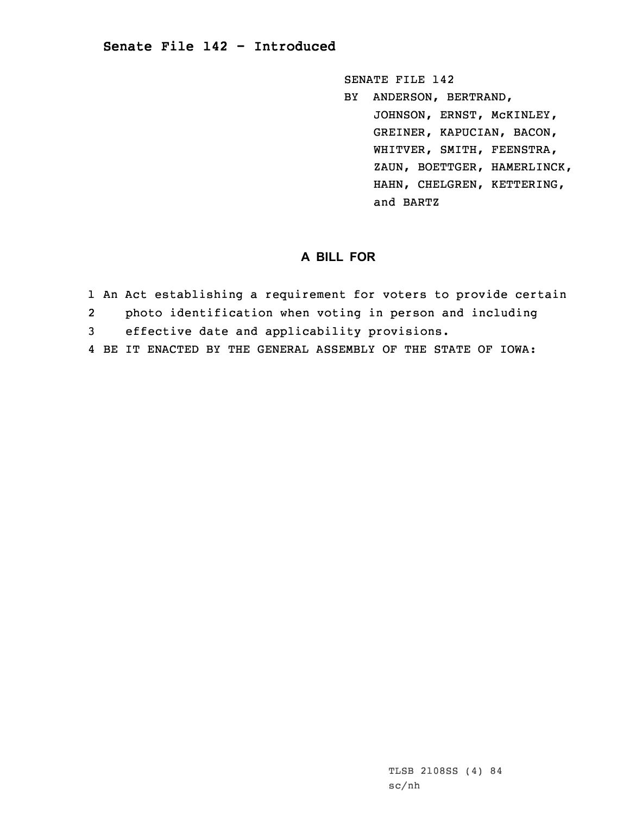## **Senate File 142 - Introduced**

SENATE FILE 142

BY ANDERSON, BERTRAND, JOHNSON, ERNST, McKINLEY, GREINER, KAPUCIAN, BACON, WHITVER, SMITH, FEENSTRA, ZAUN, BOETTGER, HAMERLINCK, HAHN, CHELGREN, KETTERING, and BARTZ

## **A BILL FOR**

- 1 An Act establishing <sup>a</sup> requirement for voters to provide certain
- 2photo identification when voting in person and including
- 3 effective date and applicability provisions.
- 4 BE IT ENACTED BY THE GENERAL ASSEMBLY OF THE STATE OF IOWA: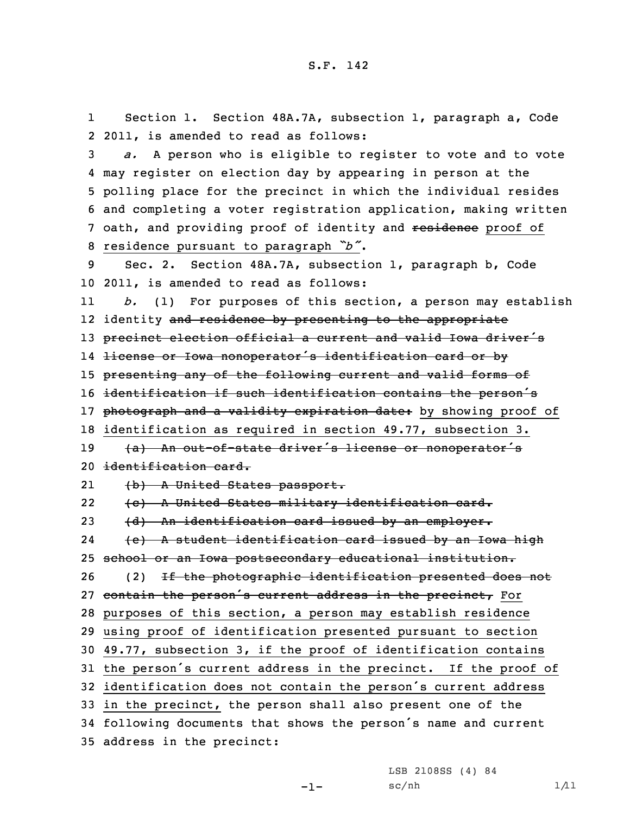1 Section 1. Section 48A.7A, subsection 1, paragraph a, Code 2 2011, is amended to read as follows:

 *a.* <sup>A</sup> person who is eligible to register to vote and to vote may register on election day by appearing in person at the polling place for the precinct in which the individual resides and completing <sup>a</sup> voter registration application, making written 7 oath, and providing proof of identity and residence proof of residence pursuant to paragraph *"b"*.

9 Sec. 2. Section 48A.7A, subsection 1, paragraph b, Code 10 2011, is amended to read as follows:

11 *b.* (1) For purposes of this section, <sup>a</sup> person may establish 12 identity <del>and residence by presenting to the appropriate</del> 13 precinct election official a current and valid Iowa driver's 14 license or Iowa nonoperator's identification card or by 15 presenting any of the following current and valid forms of <sup>16</sup> identification if such identification contains the person's 17 photograph and a validity expiration date: by showing proof of 18 identification as required in section 49.77, subsection 3. 19 (a) An out-of-state driver's license or nonoperator's

```
20 identification card.
```
21(b) <sup>A</sup> United States passport.

22 (c) <sup>A</sup> United States military identification card. 23 (d) An identification card issued by an employer. 24 (e) <sup>A</sup> student identification card issued by an Iowa high 25 school or an Iowa postsecondary educational institution. 26 (2) If the photographic identification presented does not 27 contain the person's current address in the precinct, For 28 purposes of this section, <sup>a</sup> person may establish residence 29 using proof of identification presented pursuant to section 30 49.77, subsection 3, if the proof of identification contains <sup>31</sup> the person's current address in the precinct. If the proof of <sup>32</sup> identification does not contain the person's current address 33 in the precinct, the person shall also present one of the <sup>34</sup> following documents that shows the person's name and current 35 address in the precinct:

> LSB 2108SS (4) 84  $sc/nh$  1/11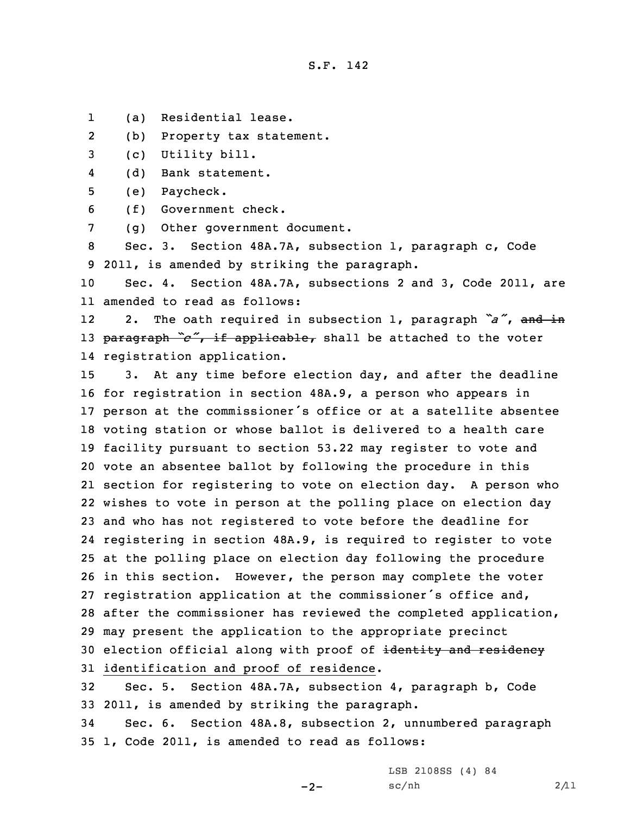S.F. 142

1(a) Residential lease.

2(b) Property tax statement.

3 (c) Utility bill.

4(d) Bank statement.

5 (e) Paycheck.

6 (f) Government check.

7 (g) Other government document.

8 Sec. 3. Section 48A.7A, subsection 1, paragraph c, Code 9 2011, is amended by striking the paragraph.

10 Sec. 4. Section 48A.7A, subsections 2 and 3, Code 2011, are 11 amended to read as follows:

12 2. The oath required in subsection 1, paragraph *"a"*, and in <sup>13</sup> paragraph *"c"*, if applicable, shall be attached to the voter 14 registration application.

 3. At any time before election day, and after the deadline for registration in section 48A.9, <sup>a</sup> person who appears in person at the commissioner's office or at <sup>a</sup> satellite absentee voting station or whose ballot is delivered to <sup>a</sup> health care facility pursuant to section 53.22 may register to vote and vote an absentee ballot by following the procedure in this section for registering to vote on election day. <sup>A</sup> person who wishes to vote in person at the polling place on election day and who has not registered to vote before the deadline for registering in section 48A.9, is required to register to vote at the polling place on election day following the procedure in this section. However, the person may complete the voter registration application at the commissioner's office and, after the commissioner has reviewed the completed application, may present the application to the appropriate precinct 30 election official along with proof of identity and residency identification and proof of residence.

32 Sec. 5. Section 48A.7A, subsection 4, paragraph b, Code 33 2011, is amended by striking the paragraph.

34 Sec. 6. Section 48A.8, subsection 2, unnumbered paragraph 35 1, Code 2011, is amended to read as follows:

LSB 2108SS (4) 84

 $-2-$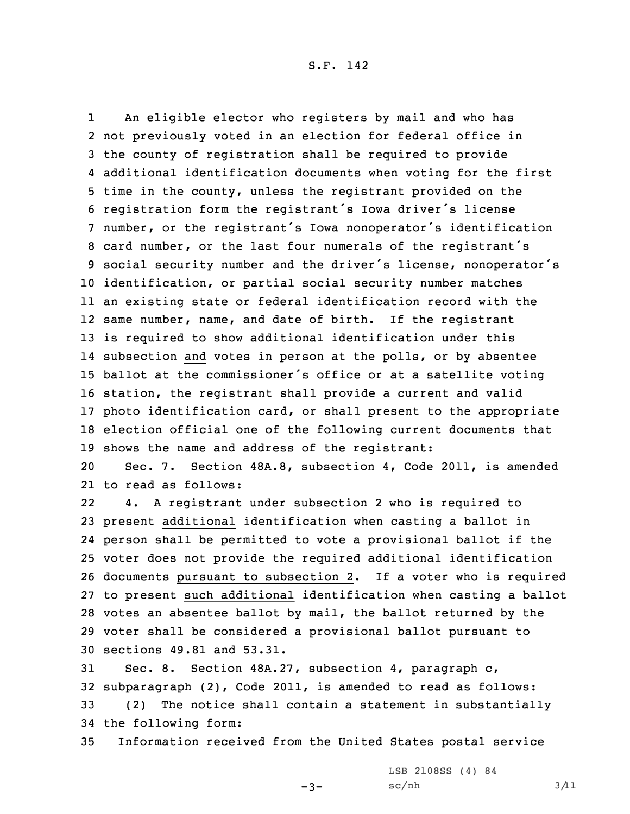1 An eligible elector who registers by mail and who has not previously voted in an election for federal office in the county of registration shall be required to provide additional identification documents when voting for the first time in the county, unless the registrant provided on the registration form the registrant's Iowa driver's license number, or the registrant's Iowa nonoperator's identification card number, or the last four numerals of the registrant's social security number and the driver's license, nonoperator's identification, or partial social security number matches an existing state or federal identification record with the same number, name, and date of birth. If the registrant is required to show additional identification under this subsection and votes in person at the polls, or by absentee ballot at the commissioner's office or at <sup>a</sup> satellite voting station, the registrant shall provide <sup>a</sup> current and valid photo identification card, or shall present to the appropriate election official one of the following current documents that shows the name and address of the registrant:

20 Sec. 7. Section 48A.8, subsection 4, Code 2011, is amended 21 to read as follows:

22 4. <sup>A</sup> registrant under subsection 2 who is required to present additional identification when casting <sup>a</sup> ballot in person shall be permitted to vote <sup>a</sup> provisional ballot if the voter does not provide the required additional identification documents pursuant to subsection 2. If <sup>a</sup> voter who is required to present such additional identification when casting <sup>a</sup> ballot votes an absentee ballot by mail, the ballot returned by the voter shall be considered <sup>a</sup> provisional ballot pursuant to sections 49.81 and 53.31.

 Sec. 8. Section 48A.27, subsection 4, paragraph c, subparagraph (2), Code 2011, is amended to read as follows: (2) The notice shall contain <sup>a</sup> statement in substantially the following form:

35 Information received from the United States postal service

-3-

LSB 2108SS (4) 84  $sc/nh$   $3/11$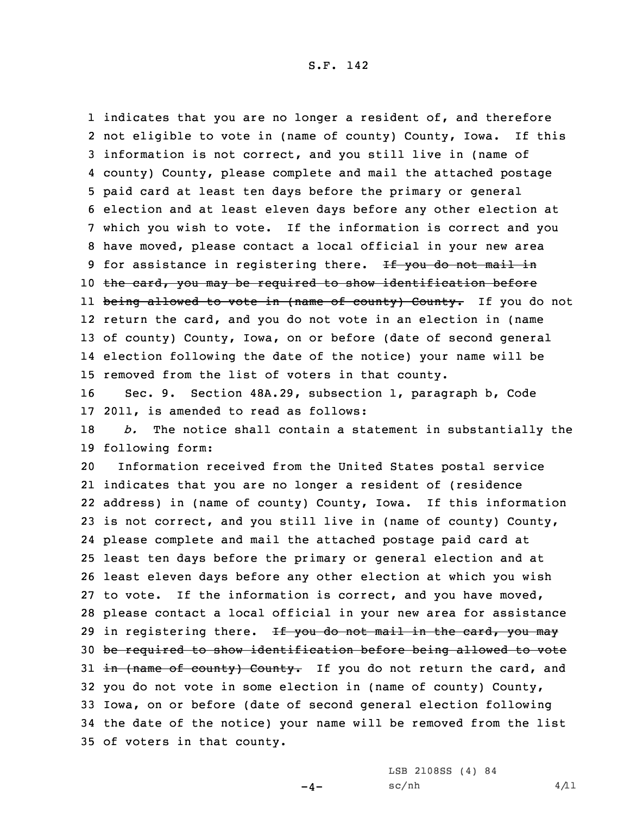1 indicates that you are no longer a resident of, and therefore not eligible to vote in (name of county) County, Iowa. If this information is not correct, and you still live in (name of county) County, please complete and mail the attached postage paid card at least ten days before the primary or general election and at least eleven days before any other election at which you wish to vote. If the information is correct and you have moved, please contact <sup>a</sup> local official in your new area 9 for assistance in registering there. If you do not mail in 10 the card, you may be required to show identification before ll <del>being allowed to vote in (name of county) County.</del> If you do not return the card, and you do not vote in an election in (name of county) County, Iowa, on or before (date of second general election following the date of the notice) your name will be removed from the list of voters in that county.

16 Sec. 9. Section 48A.29, subsection 1, paragraph b, Code 17 2011, is amended to read as follows:

18 *b.* The notice shall contain <sup>a</sup> statement in substantially the 19 following form:

 Information received from the United States postal service indicates that you are no longer <sup>a</sup> resident of (residence address) in (name of county) County, Iowa. If this information is not correct, and you still live in (name of county) County, please complete and mail the attached postage paid card at least ten days before the primary or general election and at least eleven days before any other election at which you wish to vote. If the information is correct, and you have moved, please contact <sup>a</sup> local official in your new area for assistance 29 in registering there. If you do not mail in the card, you may be required to show identification before being allowed to vote  $\pm$ n (name of county) County. If you do not return the card, and you do not vote in some election in (name of county) County, Iowa, on or before (date of second general election following the date of the notice) your name will be removed from the list of voters in that county.

 $-4-$ 

LSB 2108SS (4) 84  $sc/nh$  4/11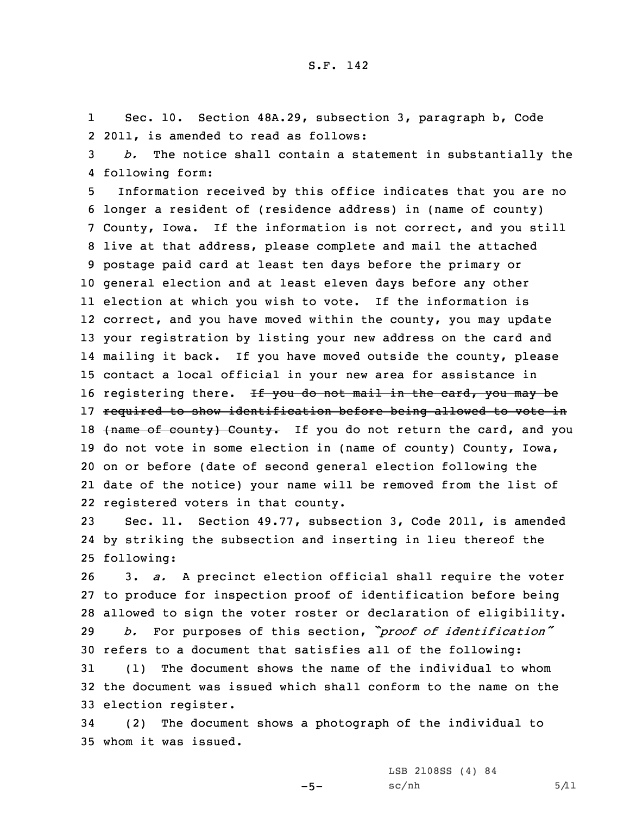1 Sec. 10. Section 48A.29, subsection 3, paragraph b, Code 2 2011, is amended to read as follows:

3 *b.* The notice shall contain <sup>a</sup> statement in substantially the 4 following form:

 Information received by this office indicates that you are no longer <sup>a</sup> resident of (residence address) in (name of county) County, Iowa. If the information is not correct, and you still live at that address, please complete and mail the attached postage paid card at least ten days before the primary or general election and at least eleven days before any other election at which you wish to vote. If the information is correct, and you have moved within the county, you may update your registration by listing your new address on the card and mailing it back. If you have moved outside the county, please contact <sup>a</sup> local official in your new area for assistance in 16 registering there. If you do not mail in the card, you may be required to show identification before being allowed to vote in 18 (name of county) County. If you do not return the card, and you do not vote in some election in (name of county) County, Iowa, on or before (date of second general election following the date of the notice) your name will be removed from the list of registered voters in that county.

23 Sec. 11. Section 49.77, subsection 3, Code 2011, is amended 24 by striking the subsection and inserting in lieu thereof the 25 following:

 3. *a.* <sup>A</sup> precinct election official shall require the voter to produce for inspection proof of identification before being allowed to sign the voter roster or declaration of eligibility. *b.* For purposes of this section, *"proof of identification"* refers to <sup>a</sup> document that satisfies all of the following: (1) The document shows the name of the individual to whom

32 the document was issued which shall conform to the name on the 33 election register.

34 (2) The document shows <sup>a</sup> photograph of the individual to 35 whom it was issued.

 $-5-$ 

LSB 2108SS (4) 84  $sc/nh$  5/11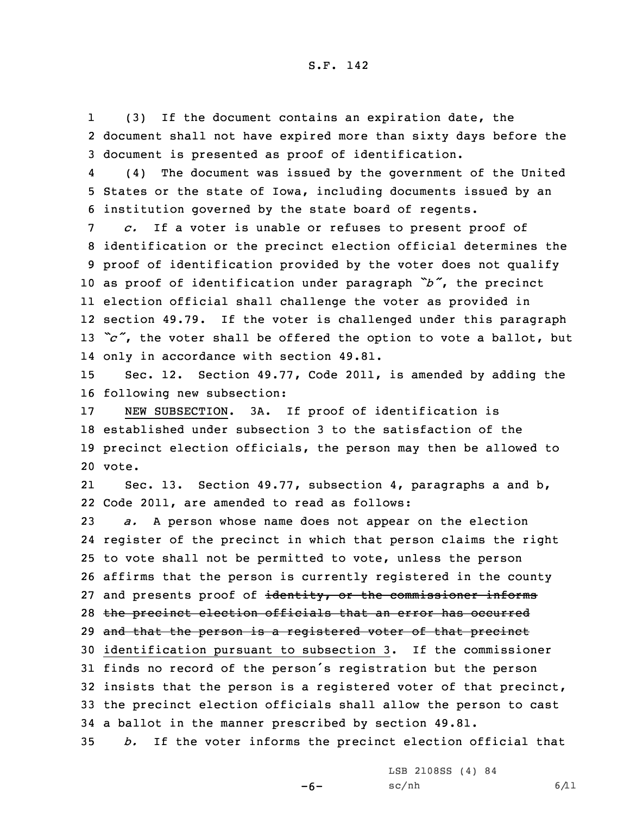1 (3) If the document contains an expiration date, the 2 document shall not have expired more than sixty days before the 3 document is presented as proof of identification.

4 (4) The document was issued by the government of the United 5 States or the state of Iowa, including documents issued by an 6 institution governed by the state board of regents.

 *c.* If <sup>a</sup> voter is unable or refuses to present proof of identification or the precinct election official determines the proof of identification provided by the voter does not qualify as proof of identification under paragraph *"b"*, the precinct election official shall challenge the voter as provided in section 49.79. If the voter is challenged under this paragraph 13 "c", the voter shall be offered the option to vote a ballot, but only in accordance with section 49.81.

15 Sec. 12. Section 49.77, Code 2011, is amended by adding the 16 following new subsection:

 NEW SUBSECTION. 3A. If proof of identification is established under subsection 3 to the satisfaction of the precinct election officials, the person may then be allowed to 20 vote.

21 Sec. 13. Section 49.77, subsection 4, paragraphs <sup>a</sup> and b, 22 Code 2011, are amended to read as follows:

 *a.* <sup>A</sup> person whose name does not appear on the election register of the precinct in which that person claims the right to vote shall not be permitted to vote, unless the person affirms that the person is currently registered in the county 27 and presents proof of identity, or the commissioner informs the precinct election officials that an error has occurred 29 and that the person is a registered voter of that precinct identification pursuant to subsection 3. If the commissioner finds no record of the person's registration but the person insists that the person is <sup>a</sup> registered voter of that precinct, the precinct election officials shall allow the person to cast <sup>a</sup> ballot in the manner prescribed by section 49.81. *b.* If the voter informs the precinct election official that

> LSB 2108SS (4) 84  $sc/nh$  6/11

-6-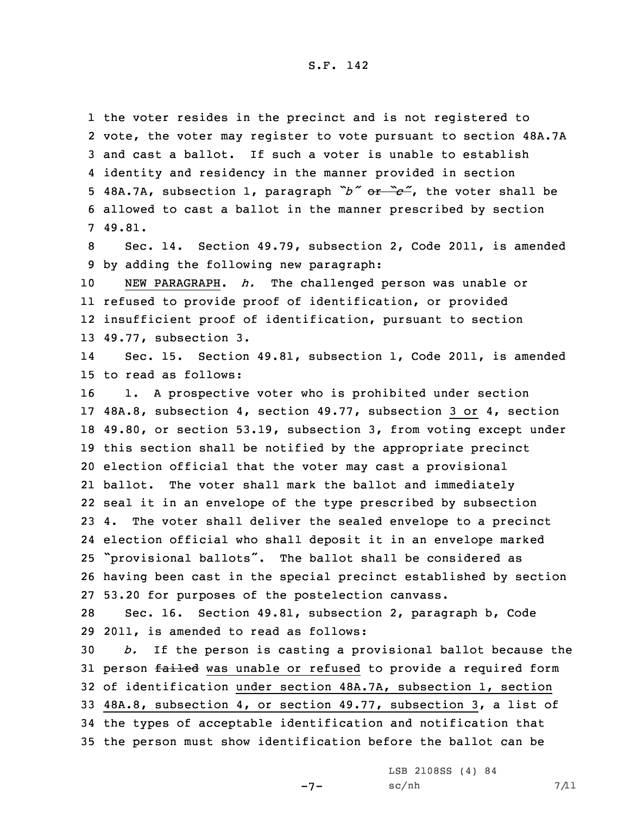S.F. 142

 the voter resides in the precinct and is not registered to vote, the voter may register to vote pursuant to section 48A.7A and cast <sup>a</sup> ballot. If such <sup>a</sup> voter is unable to establish identity and residency in the manner provided in section 48A.7A, subsection 1, paragraph *"b"* or *"c"*, the voter shall be allowed to cast <sup>a</sup> ballot in the manner prescribed by section 7 49.81.

8 Sec. 14. Section 49.79, subsection 2, Code 2011, is amended 9 by adding the following new paragraph:

 NEW PARAGRAPH. *h.* The challenged person was unable or refused to provide proof of identification, or provided insufficient proof of identification, pursuant to section 49.77, subsection 3.

14 Sec. 15. Section 49.81, subsection 1, Code 2011, is amended 15 to read as follows:

 1. <sup>A</sup> prospective voter who is prohibited under section 48A.8, subsection 4, section 49.77, subsection 3 or 4, section 49.80, or section 53.19, subsection 3, from voting except under this section shall be notified by the appropriate precinct election official that the voter may cast <sup>a</sup> provisional ballot. The voter shall mark the ballot and immediately seal it in an envelope of the type prescribed by subsection 4. The voter shall deliver the sealed envelope to <sup>a</sup> precinct election official who shall deposit it in an envelope marked "provisional ballots". The ballot shall be considered as having been cast in the special precinct established by section 53.20 for purposes of the postelection canvass.

28 Sec. 16. Section 49.81, subsection 2, paragraph b, Code 29 2011, is amended to read as follows:

 *b.* If the person is casting <sup>a</sup> provisional ballot because the 31 person failed was unable or refused to provide a required form of identification under section 48A.7A, subsection 1, section 48A.8, subsection 4, or section 49.77, subsection 3, <sup>a</sup> list of the types of acceptable identification and notification that the person must show identification before the ballot can be

 $-7-$ 

LSB 2108SS (4) 84  $sc/nh$  7/11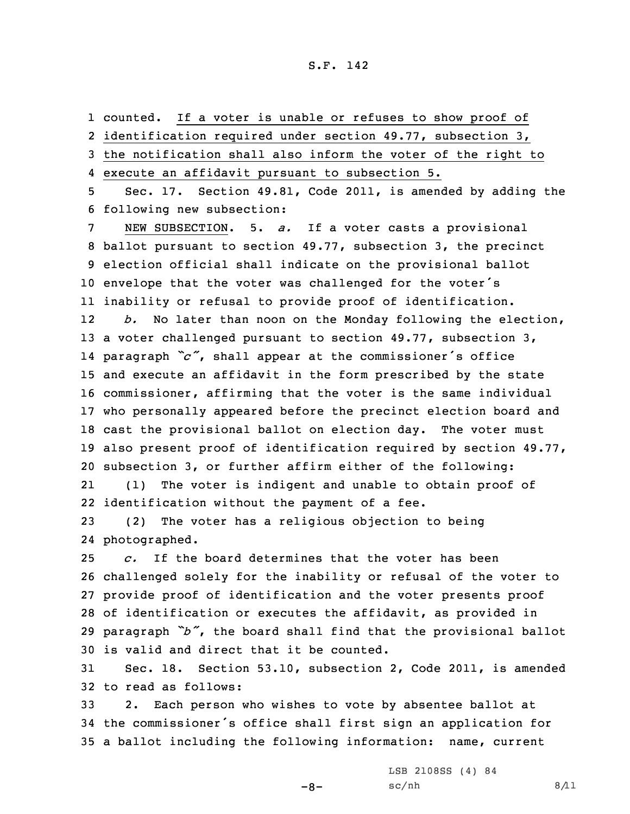counted. If <sup>a</sup> voter is unable or refuses to show proof of identification required under section 49.77, subsection 3, the notification shall also inform the voter of the right to execute an affidavit pursuant to subsection 5. Sec. 17. Section 49.81, Code 2011, is amended by adding the following new subsection: NEW SUBSECTION. 5. *a.* If <sup>a</sup> voter casts <sup>a</sup> provisional ballot pursuant to section 49.77, subsection 3, the precinct election official shall indicate on the provisional ballot envelope that the voter was challenged for the voter's inability or refusal to provide proof of identification. 12 *b.* No later than noon on the Monday following the election, 13 a voter challenged pursuant to section 49.77, subsection 3, paragraph *"c"*, shall appear at the commissioner's office and execute an affidavit in the form prescribed by the state commissioner, affirming that the voter is the same individual who personally appeared before the precinct election board and cast the provisional ballot on election day. The voter must also present proof of identification required by section 49.77, subsection 3, or further affirm either of the following: 21 (1) The voter is indigent and unable to obtain proof of identification without the payment of <sup>a</sup> fee. (2) The voter has <sup>a</sup> religious objection to being

24 photographed.

 *c.* If the board determines that the voter has been challenged solely for the inability or refusal of the voter to provide proof of identification and the voter presents proof of identification or executes the affidavit, as provided in paragraph *"b"*, the board shall find that the provisional ballot is valid and direct that it be counted.

31 Sec. 18. Section 53.10, subsection 2, Code 2011, is amended 32 to read as follows:

33 2. Each person who wishes to vote by absentee ballot at <sup>34</sup> the commissioner's office shall first sign an application for 35 <sup>a</sup> ballot including the following information: name, current

LSB 2108SS (4) 84

 $-8-$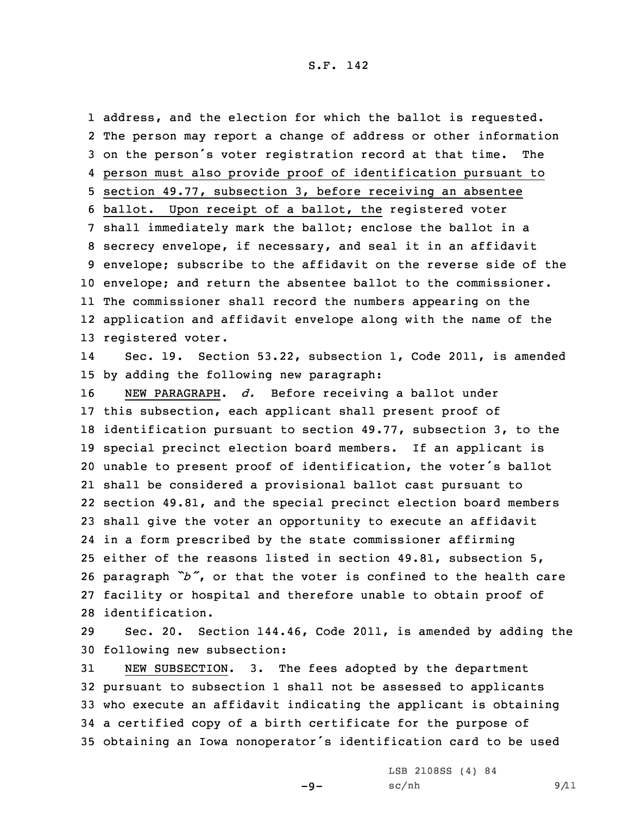## S.F. 142

 address, and the election for which the ballot is requested. The person may report <sup>a</sup> change of address or other information on the person's voter registration record at that time. The person must also provide proof of identification pursuant to section 49.77, subsection 3, before receiving an absentee ballot. Upon receipt of <sup>a</sup> ballot, the registered voter shall immediately mark the ballot; enclose the ballot in <sup>a</sup> secrecy envelope, if necessary, and seal it in an affidavit envelope; subscribe to the affidavit on the reverse side of the envelope; and return the absentee ballot to the commissioner. The commissioner shall record the numbers appearing on the application and affidavit envelope along with the name of the registered voter.

14 Sec. 19. Section 53.22, subsection 1, Code 2011, is amended 15 by adding the following new paragraph:

 NEW PARAGRAPH. *d.* Before receiving <sup>a</sup> ballot under this subsection, each applicant shall present proof of identification pursuant to section 49.77, subsection 3, to the special precinct election board members. If an applicant is unable to present proof of identification, the voter's ballot shall be considered <sup>a</sup> provisional ballot cast pursuant to section 49.81, and the special precinct election board members shall give the voter an opportunity to execute an affidavit in <sup>a</sup> form prescribed by the state commissioner affirming either of the reasons listed in section 49.81, subsection 5, paragraph *"b"*, or that the voter is confined to the health care facility or hospital and therefore unable to obtain proof of identification.

29 Sec. 20. Section 144.46, Code 2011, is amended by adding the 30 following new subsection:

 NEW SUBSECTION. 3. The fees adopted by the department pursuant to subsection 1 shall not be assessed to applicants who execute an affidavit indicating the applicant is obtaining <sup>a</sup> certified copy of <sup>a</sup> birth certificate for the purpose of obtaining an Iowa nonoperator's identification card to be used

-9-

LSB 2108SS (4) 84  $sc/nh$  9/11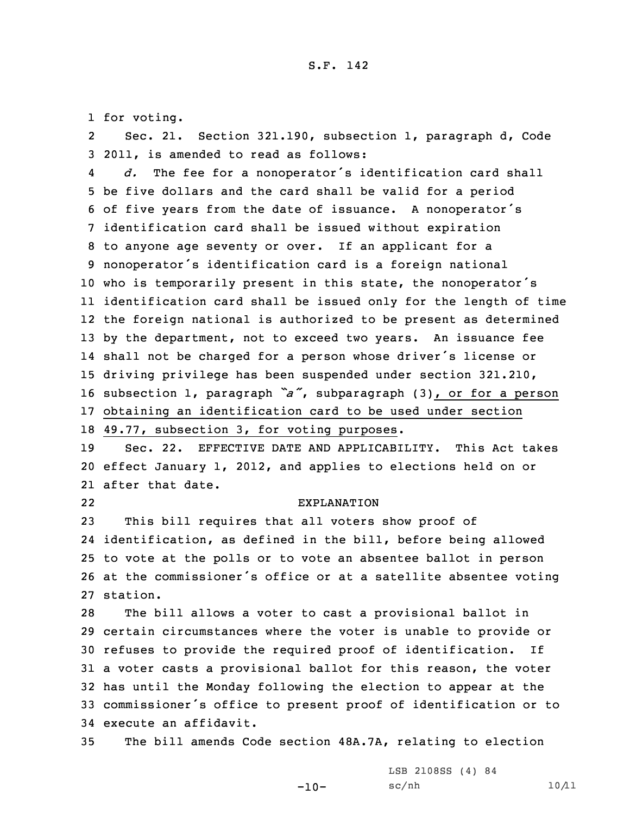1 for voting.

2 Sec. 21. Section 321.190, subsection 1, paragraph d, Code 3 2011, is amended to read as follows:

4 *d.* The fee for <sup>a</sup> nonoperator's identification card shall be five dollars and the card shall be valid for <sup>a</sup> period of five years from the date of issuance. <sup>A</sup> nonoperator's identification card shall be issued without expiration to anyone age seventy or over. If an applicant for <sup>a</sup> nonoperator's identification card is <sup>a</sup> foreign national who is temporarily present in this state, the nonoperator's identification card shall be issued only for the length of time the foreign national is authorized to be present as determined by the department, not to exceed two years. An issuance fee shall not be charged for <sup>a</sup> person whose driver's license or driving privilege has been suspended under section 321.210, subsection 1, paragraph *"a"*, subparagraph (3), or for <sup>a</sup> person obtaining an identification card to be used under section 49.77, subsection 3, for voting purposes.

19 Sec. 22. EFFECTIVE DATE AND APPLICABILITY. This Act takes 20 effect January 1, 2012, and applies to elections held on or 21 after that date.

22

## EXPLANATION

 This bill requires that all voters show proof of identification, as defined in the bill, before being allowed to vote at the polls or to vote an absentee ballot in person at the commissioner's office or at <sup>a</sup> satellite absentee voting 27 station.

 The bill allows <sup>a</sup> voter to cast <sup>a</sup> provisional ballot in certain circumstances where the voter is unable to provide or refuses to provide the required proof of identification. If <sup>a</sup> voter casts <sup>a</sup> provisional ballot for this reason, the voter has until the Monday following the election to appear at the commissioner's office to present proof of identification or to execute an affidavit.

35 The bill amends Code section 48A.7A, relating to election

-10-

LSB 2108SS (4) 84  $sc/nh$  10/11